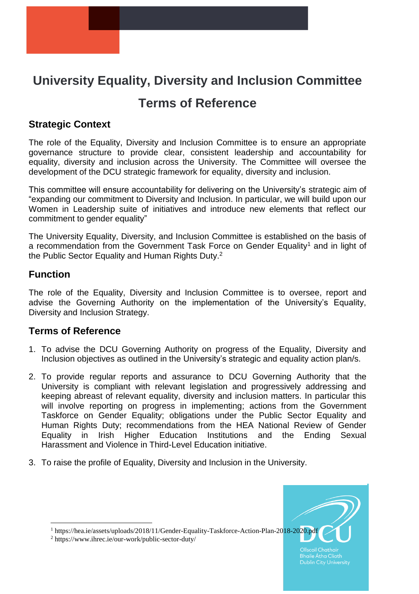# **University Equality, Diversity and Inclusion Committee**

## **Terms of Reference**

## **Strategic Context**

The role of the Equality, Diversity and Inclusion Committee is to ensure an appropriate governance structure to provide clear, consistent leadership and accountability for equality, diversity and inclusion across the University. The Committee will oversee the development of the DCU strategic framework for equality, diversity and inclusion.

This committee will ensure accountability for delivering on the University's strategic aim of "expanding our commitment to Diversity and Inclusion. In particular, we will build upon our Women in Leadership suite of initiatives and introduce new elements that reflect our commitment to gender equality"

The University Equality, Diversity, and Inclusion Committee is established on the basis of a recommendation from the Government Task Force on Gender Equality<sup>1</sup> and in light of the Public Sector Equality and Human Rights Duty.<sup>2</sup>

#### **Function**

 $\overline{a}$ 

The role of the Equality, Diversity and Inclusion Committee is to oversee, report and advise the Governing Authority on the implementation of the University's Equality, Diversity and Inclusion Strategy.

#### **Terms of Reference**

- 1. To advise the DCU Governing Authority on progress of the Equality, Diversity and Inclusion objectives as outlined in the University's strategic and equality action plan/s.
- 2. To provide regular reports and assurance to DCU Governing Authority that the University is compliant with relevant legislation and progressively addressing and keeping abreast of relevant equality, diversity and inclusion matters. In particular this will involve reporting on progress in implementing; actions from the Government Taskforce on Gender Equality; obligations under the Public Sector Equality and Human Rights Duty; recommendations from the HEA National Review of Gender Equality in Irish Higher Education Institutions and the Ending Sexual Harassment and Violence in Third-Level Education initiative.
- 3. To raise the profile of Equality, Diversity and Inclusion in the University.